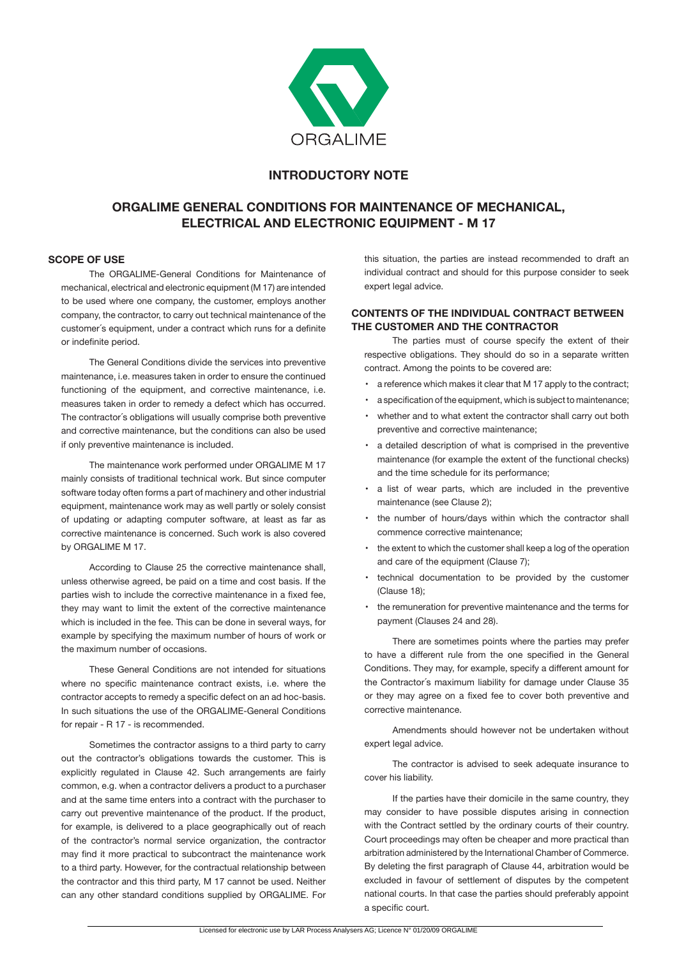

# **INTRODUCTORY NOTE**

# **ORGALIME GENERAL CONDITIONS FOR MAINTENANCE OF MECHANICAL, ELECTRICAL AND ELECTRONIC EQUIPMENT - M 17**

# **SCOPE OF USE**

The ORGALIME-General Conditions for Maintenance of mechanical, electrical and electronic equipment (M 17) are intended to be used where one company, the customer, employs another company, the contractor, to carry out technical maintenance of the customer´s equipment, under a contract which runs for a definite or indefinite period.

 The General Conditions divide the services into preventive maintenance, i.e. measures taken in order to ensure the continued functioning of the equipment, and corrective maintenance, i.e. measures taken in order to remedy a defect which has occurred. The contractor´s obligations will usually comprise both preventive and corrective maintenance, but the conditions can also be used if only preventive maintenance is included.

 The maintenance work performed under ORGALIME M 17 mainly consists of traditional technical work. But since computer software today often forms a part of machinery and other industrial equipment, maintenance work may as well partly or solely consist of updating or adapting computer software, at least as far as corrective maintenance is concerned. Such work is also covered by ORGALIME M 17.

 According to Clause 25 the corrective maintenance shall, unless otherwise agreed, be paid on a time and cost basis. If the parties wish to include the corrective maintenance in a fixed fee, they may want to limit the extent of the corrective maintenance which is included in the fee. This can be done in several ways, for example by specifying the maximum number of hours of work or the maximum number of occasions.

 These General Conditions are not intended for situations where no specific maintenance contract exists, i.e. where the contractor accepts to remedy a specific defect on an ad hoc-basis. In such situations the use of the ORGALIME-General Conditions for repair - R 17 - is recommended.

Sometimes the contractor assigns to a third party to carry out the contractor's obligations towards the customer. This is explicitly regulated in Clause 42. Such arrangements are fairly common, e.g. when a contractor delivers a product to a purchaser and at the same time enters into a contract with the purchaser to carry out preventive maintenance of the product. If the product, for example, is delivered to a place geographically out of reach of the contractor's normal service organization, the contractor may find it more practical to subcontract the maintenance work to a third party. However, for the contractual relationship between the contractor and this third party, M 17 cannot be used. Neither can any other standard conditions supplied by ORGALIME. For

this situation, the parties are instead recommended to draft an individual contract and should for this purpose consider to seek expert legal advice.

# **CONTENTS OF THE INDIVIDUAL CONTRACT BETWEEN THE CUSTOMER AND THE CONTRACTOR**

The parties must of course specify the extent of their respective obligations. They should do so in a separate written contract. Among the points to be covered are:

- a reference which makes it clear that M 17 apply to the contract;
- a specification of the equipment, which is subject to maintenance;
- whether and to what extent the contractor shall carry out both preventive and corrective maintenance;
- a detailed description of what is comprised in the preventive maintenance (for example the extent of the functional checks) and the time schedule for its performance;
- a list of wear parts, which are included in the preventive maintenance (see Clause 2);
- the number of hours/days within which the contractor shall commence corrective maintenance;
- the extent to which the customer shall keep a log of the operation and care of the equipment (Clause 7);
- technical documentation to be provided by the customer (Clause 18);
- the remuneration for preventive maintenance and the terms for payment (Clauses 24 and 28).

 There are sometimes points where the parties may prefer to have a different rule from the one specified in the General Conditions. They may, for example, specify a different amount for the Contractor´s maximum liability for damage under Clause 35 or they may agree on a fixed fee to cover both preventive and corrective maintenance.

 Amendments should however not be undertaken without expert legal advice.

The contractor is advised to seek adequate insurance to cover his liability.

If the parties have their domicile in the same country, they may consider to have possible disputes arising in connection with the Contract settled by the ordinary courts of their country. Court proceedings may often be cheaper and more practical than arbitration administered by the International Chamber of Commerce. By deleting the first paragraph of Clause 44, arbitration would be excluded in favour of settlement of disputes by the competent national courts. In that case the parties should preferably appoint a specific court.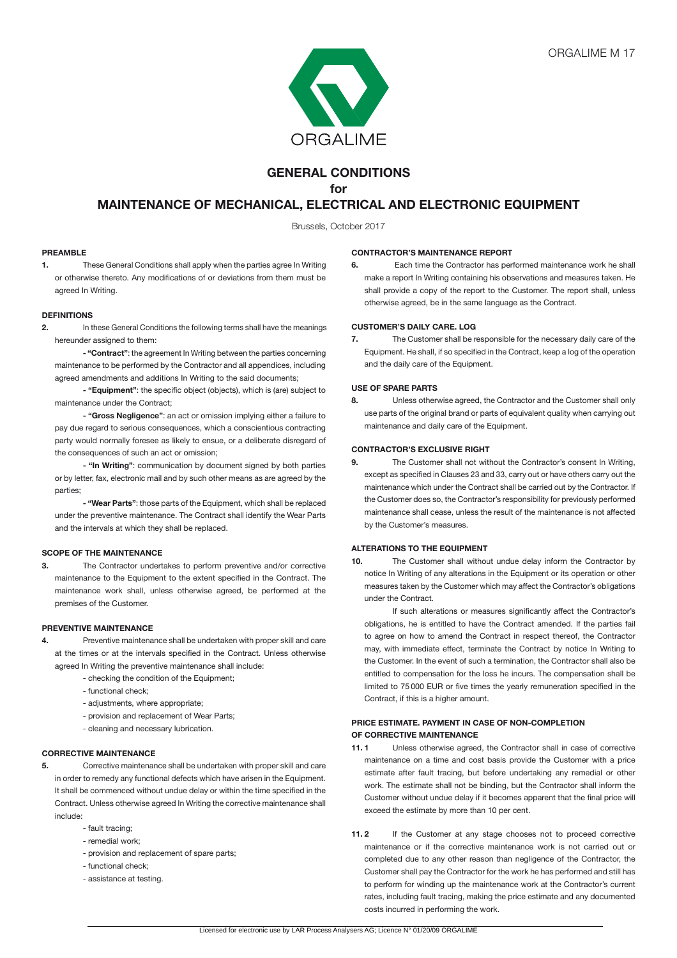

# **GENERAL CONDITIONS**

**for** 

# **MAINTENANCE OF MECHANICAL, ELECTRICAL AND ELECTRONIC EQUIPMENT**

Brussels, October 2017

### **PREAMBLE**

**1.** These General Conditions shall apply when the parties agree In Writing or otherwise thereto. Any modifications of or deviations from them must be agreed In Writing.

#### **DEFINITIONS**

**2.** In these General Conditions the following terms shall have the meanings hereunder assigned to them:

 **- "Contract"**: the agreement In Writing between the parties concerning maintenance to be performed by the Contractor and all appendices, including agreed amendments and additions In Writing to the said documents;

 **- "Equipment"**: the specific object (objects), which is (are) subject to maintenance under the Contract;

 **- "Gross Negligence"**: an act or omission implying either a failure to pay due regard to serious consequences, which a conscientious contracting party would normally foresee as likely to ensue, or a deliberate disregard of the consequences of such an act or omission;

**- "In Writing"**: communication by document signed by both parties or by letter, fax, electronic mail and by such other means as are agreed by the parties;

 **- "Wear Parts"**: those parts of the Equipment, which shall be replaced under the preventive maintenance. The Contract shall identify the Wear Parts and the intervals at which they shall be replaced.

# **SCOPE OF THE MAINTENANCE**

**3.** The Contractor undertakes to perform preventive and/or corrective maintenance to the Equipment to the extent specified in the Contract. The maintenance work shall, unless otherwise agreed, be performed at the premises of the Customer.

#### **PREVENTIVE MAINTENANCE**

- **4.** Preventive maintenance shall be undertaken with proper skill and care at the times or at the intervals specified in the Contract. Unless otherwise agreed In Writing the preventive maintenance shall include:
	- checking the condition of the Equipment;
	- functional check;
	- adjustments, where appropriate;
	- provision and replacement of Wear Parts;
	- cleaning and necessary lubrication.

# **CORRECTIVE MAINTENANCE**

**5.** Corrective maintenance shall be undertaken with proper skill and care in order to remedy any functional defects which have arisen in the Equipment. It shall be commenced without undue delay or within the time specified in the Contract. Unless otherwise agreed In Writing the corrective maintenance shall include:

- fault tracing;
- remedial work;
- provision and replacement of spare parts;
- functional check;
- assistance at testing.

#### **CONTRACTOR'S MAINTENANCE REPORT**

**6.** Each time the Contractor has performed maintenance work he shall make a report In Writing containing his observations and measures taken. He shall provide a copy of the report to the Customer. The report shall, unless otherwise agreed, be in the same language as the Contract.

#### **CUSTOMER'S DAILY CARE. LOG**

**7.** The Customer shall be responsible for the necessary daily care of the Equipment. He shall, if so specified in the Contract, keep a log of the operation and the daily care of the Equipment.

# **USE OF SPARE PARTS**

**8.** Unless otherwise agreed, the Contractor and the Customer shall only use parts of the original brand or parts of equivalent quality when carrying out maintenance and daily care of the Equipment.

#### **CONTRACTOR'S EXCLUSIVE RIGHT**

**9.** The Customer shall not without the Contractor's consent In Writing, except as specified in Clauses 23 and 33, carry out or have others carry out the maintenance which under the Contract shall be carried out by the Contractor. If the Customer does so, the Contractor's responsibility for previously performed maintenance shall cease, unless the result of the maintenance is not affected by the Customer's measures.

# **ALTERATIONS TO THE EQUIPMENT**

**10.** The Customer shall without undue delay inform the Contractor by notice In Writing of any alterations in the Equipment or its operation or other measures taken by the Customer which may affect the Contractor's obligations under the Contract.

If such alterations or measures significantly affect the Contractor's obligations, he is entitled to have the Contract amended. If the parties fail to agree on how to amend the Contract in respect thereof, the Contractor may, with immediate effect, terminate the Contract by notice In Writing to the Customer. In the event of such a termination, the Contractor shall also be entitled to compensation for the loss he incurs. The compensation shall be limited to 75 000 EUR or five times the yearly remuneration specified in the Contract, if this is a higher amount.

## **PRICE ESTIMATE. PAYMENT IN CASE OF NON-COMPLETION OF CORRECTIVE MAINTENANCE**

- **11. 1** Unless otherwise agreed, the Contractor shall in case of corrective maintenance on a time and cost basis provide the Customer with a price estimate after fault tracing, but before undertaking any remedial or other work. The estimate shall not be binding, but the Contractor shall inform the Customer without undue delay if it becomes apparent that the final price will exceed the estimate by more than 10 per cent.
- **11. 2** If the Customer at any stage chooses not to proceed corrective maintenance or if the corrective maintenance work is not carried out or completed due to any other reason than negligence of the Contractor, the Customer shall pay the Contractor for the work he has performed and still has to perform for winding up the maintenance work at the Contractor's current rates, including fault tracing, making the price estimate and any documented costs incurred in performing the work.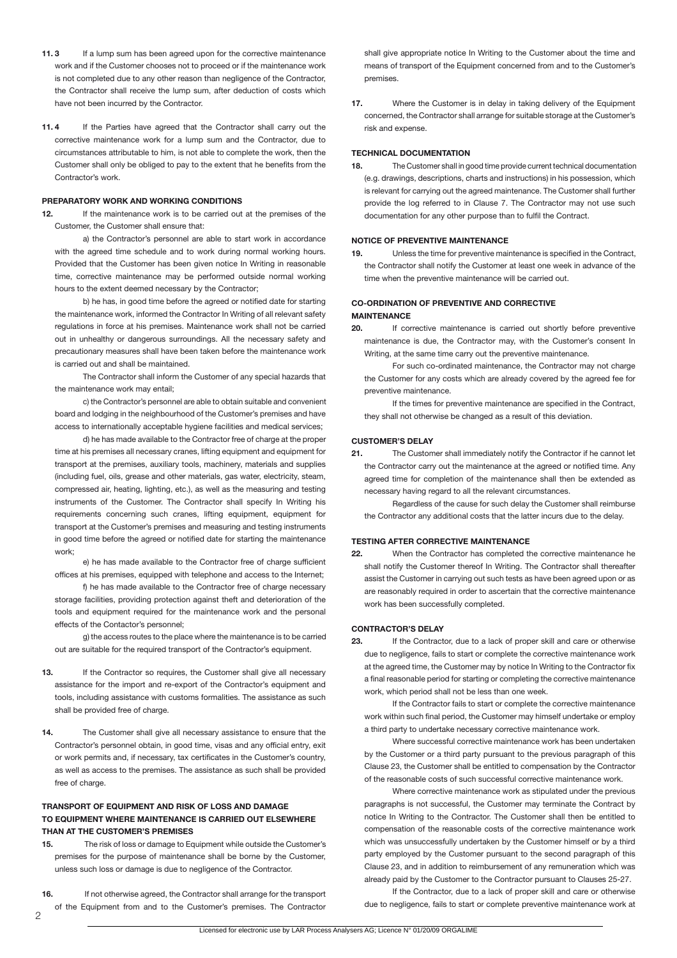- **11.3** If a lump sum has been agreed upon for the corrective maintenance work and if the Customer chooses not to proceed or if the maintenance work is not completed due to any other reason than negligence of the Contractor, the Contractor shall receive the lump sum, after deduction of costs which have not been incurred by the Contractor.
- **11. 4** If the Parties have agreed that the Contractor shall carry out the corrective maintenance work for a lump sum and the Contractor, due to circumstances attributable to him, is not able to complete the work, then the Customer shall only be obliged to pay to the extent that he benefits from the Contractor's work.

#### **PREPARATORY WORK AND WORKING CONDITIONS**

**12.** If the maintenance work is to be carried out at the premises of the Customer, the Customer shall ensure that:

a) the Contractor's personnel are able to start work in accordance with the agreed time schedule and to work during normal working hours. Provided that the Customer has been given notice In Writing in reasonable time, corrective maintenance may be performed outside normal working hours to the extent deemed necessary by the Contractor;

b) he has, in good time before the agreed or notified date for starting the maintenance work, informed the Contractor In Writing of all relevant safety regulations in force at his premises. Maintenance work shall not be carried out in unhealthy or dangerous surroundings. All the necessary safety and precautionary measures shall have been taken before the maintenance work is carried out and shall be maintained.

The Contractor shall inform the Customer of any special hazards that the maintenance work may entail;

c) the Contractor's personnel are able to obtain suitable and convenient board and lodging in the neighbourhood of the Customer's premises and have access to internationally acceptable hygiene facilities and medical services;

d) he has made available to the Contractor free of charge at the proper time at his premises all necessary cranes, lifting equipment and equipment for transport at the premises, auxiliary tools, machinery, materials and supplies (including fuel, oils, grease and other materials, gas water, electricity, steam, compressed air, heating, lighting, etc.), as well as the measuring and testing instruments of the Customer. The Contractor shall specify In Writing his requirements concerning such cranes, lifting equipment, equipment for transport at the Customer's premises and measuring and testing instruments in good time before the agreed or notified date for starting the maintenance work;

e) he has made available to the Contractor free of charge sufficient offices at his premises, equipped with telephone and access to the Internet;

f) he has made available to the Contractor free of charge necessary storage facilities, providing protection against theft and deterioration of the tools and equipment required for the maintenance work and the personal effects of the Contactor's personnel;

g) the access routes to the place where the maintenance is to be carried out are suitable for the required transport of the Contractor's equipment.

- 13. If the Contractor so requires, the Customer shall give all necessary assistance for the import and re-export of the Contractor's equipment and tools, including assistance with customs formalities. The assistance as such shall be provided free of charge.
- **14.** The Customer shall give all necessary assistance to ensure that the Contractor's personnel obtain, in good time, visas and any official entry, exit or work permits and, if necessary, tax certificates in the Customer's country, as well as access to the premises. The assistance as such shall be provided free of charge.

# **TRANSPORT OF EQUIPMENT AND RISK OF LOSS AND DAMAGE TO EQUIPMENT WHERE MAINTENANCE IS CARRIED OUT ELSEWHERE THAN AT THE CUSTOMER'S PREMISES**

**15.** The risk of loss or damage to Equipment while outside the Customer's premises for the purpose of maintenance shall be borne by the Customer, unless such loss or damage is due to negligence of the Contractor.

**16.** If not otherwise agreed, the Contractor shall arrange for the transport of the Equipment from and to the Customer's premises. The Contractor

shall give appropriate notice In Writing to the Customer about the time and means of transport of the Equipment concerned from and to the Customer's premises.

**17.** Where the Customer is in delay in taking delivery of the Equipment concerned, the Contractor shall arrange for suitable storage at the Customer's risk and expense.

#### **TECHNICAL DOCUMENTATION**

**18.** The Customer shall in good time provide current technical documentation (e.g. drawings, descriptions, charts and instructions) in his possession, which is relevant for carrying out the agreed maintenance. The Customer shall further provide the log referred to in Clause 7. The Contractor may not use such documentation for any other purpose than to fulfil the Contract.

# **NOTICE OF PREVENTIVE MAINTENANCE**

**19.** Unless the time for preventive maintenance is specified in the Contract, the Contractor shall notify the Customer at least one week in advance of the time when the preventive maintenance will be carried out.

## **CO-ORDINATION OF PREVENTIVE AND CORRECTIVE MAINTENANCE**

**20.** If corrective maintenance is carried out shortly before preventive maintenance is due, the Contractor may, with the Customer's consent In Writing, at the same time carry out the preventive maintenance.

For such co-ordinated maintenance, the Contractor may not charge the Customer for any costs which are already covered by the agreed fee for preventive maintenance.

If the times for preventive maintenance are specified in the Contract, they shall not otherwise be changed as a result of this deviation.

#### **CUSTOMER'S DELAY**

**21.** The Customer shall immediately notify the Contractor if he cannot let the Contractor carry out the maintenance at the agreed or notified time. Any agreed time for completion of the maintenance shall then be extended as necessary having regard to all the relevant circumstances.

Regardless of the cause for such delay the Customer shall reimburse the Contractor any additional costs that the latter incurs due to the delay.

# **TESTING AFTER CORRECTIVE MAINTENANCE**

**22.** When the Contractor has completed the corrective maintenance he shall notify the Customer thereof In Writing. The Contractor shall thereafter assist the Customer in carrying out such tests as have been agreed upon or as are reasonably required in order to ascertain that the corrective maintenance work has been successfully completed.

# **CONTRACTOR'S DELAY**

**23.** If the Contractor, due to a lack of proper skill and care or otherwise due to negligence, fails to start or complete the corrective maintenance work at the agreed time, the Customer may by notice In Writing to the Contractor fix a final reasonable period for starting or completing the corrective maintenance work, which period shall not be less than one week.

If the Contractor fails to start or complete the corrective maintenance work within such final period, the Customer may himself undertake or employ a third party to undertake necessary corrective maintenance work.

Where successful corrective maintenance work has been undertaken by the Customer or a third party pursuant to the previous paragraph of this Clause 23, the Customer shall be entitled to compensation by the Contractor of the reasonable costs of such successful corrective maintenance work.

Where corrective maintenance work as stipulated under the previous paragraphs is not successful, the Customer may terminate the Contract by notice In Writing to the Contractor. The Customer shall then be entitled to compensation of the reasonable costs of the corrective maintenance work which was unsuccessfully undertaken by the Customer himself or by a third party employed by the Customer pursuant to the second paragraph of this Clause 23, and in addition to reimbursement of any remuneration which was already paid by the Customer to the Contractor pursuant to Clauses 25-27.

If the Contractor, due to a lack of proper skill and care or otherwise due to negligence, fails to start or complete preventive maintenance work at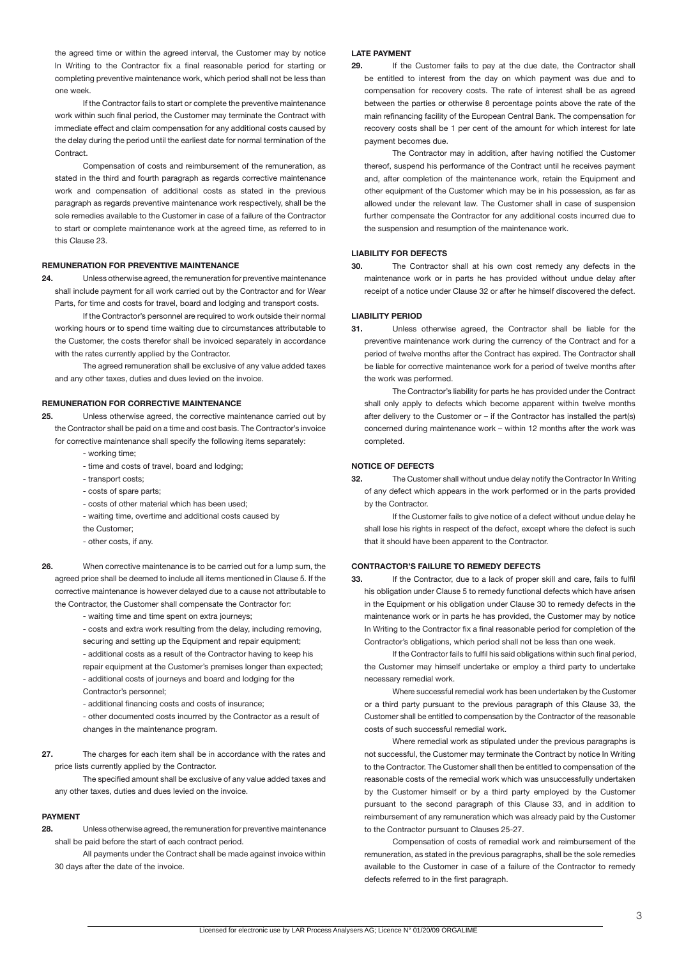the agreed time or within the agreed interval, the Customer may by notice In Writing to the Contractor fix a final reasonable period for starting or completing preventive maintenance work, which period shall not be less than one week.

If the Contractor fails to start or complete the preventive maintenance work within such final period, the Customer may terminate the Contract with immediate effect and claim compensation for any additional costs caused by the delay during the period until the earliest date for normal termination of the Contract.

Compensation of costs and reimbursement of the remuneration, as stated in the third and fourth paragraph as regards corrective maintenance work and compensation of additional costs as stated in the previous paragraph as regards preventive maintenance work respectively, shall be the sole remedies available to the Customer in case of a failure of the Contractor to start or complete maintenance work at the agreed time, as referred to in this Clause 23.

#### **REMUNERATION FOR PREVENTIVE MAINTENANCE**

**24.** Unless otherwise agreed, the remuneration for preventive maintenance shall include payment for all work carried out by the Contractor and for Wear Parts, for time and costs for travel, board and lodging and transport costs.

If the Contractor's personnel are required to work outside their normal working hours or to spend time waiting due to circumstances attributable to the Customer, the costs therefor shall be invoiced separately in accordance with the rates currently applied by the Contractor.

The agreed remuneration shall be exclusive of any value added taxes and any other taxes, duties and dues levied on the invoice.

#### **REMUNERATION FOR CORRECTIVE MAINTENANCE**

- **25.** Unless otherwise agreed, the corrective maintenance carried out by the Contractor shall be paid on a time and cost basis. The Contractor's invoice
	- for corrective maintenance shall specify the following items separately: - working time;
		- time and costs of travel, board and lodging;
		- transport costs;
		- costs of spare parts;
		- costs of other material which has been used;
		- waiting time, overtime and additional costs caused by the Customer;
		- other costs, if any.
- 
- **26.** When corrective maintenance is to be carried out for a lump sum, the agreed price shall be deemed to include all items mentioned in Clause 5. If the corrective maintenance is however delayed due to a cause not attributable to the Contractor, the Customer shall compensate the Contractor for:

- waiting time and time spent on extra journeys;

- costs and extra work resulting from the delay, including removing, securing and setting up the Equipment and repair equipment;
- additional costs as a result of the Contractor having to keep his

repair equipment at the Customer's premises longer than expected; - additional costs of journeys and board and lodging for the Contractor's personnel;

- additional financing costs and costs of insurance;

- other documented costs incurred by the Contractor as a result of changes in the maintenance program.

**27.** The charges for each item shall be in accordance with the rates and price lists currently applied by the Contractor.

The specified amount shall be exclusive of any value added taxes and any other taxes, duties and dues levied on the invoice.

#### **PAYMENT**

**28.** Unless otherwise agreed, the remuneration for preventive maintenance shall be paid before the start of each contract period.

All payments under the Contract shall be made against invoice within 30 days after the date of the invoice.

#### **LATE PAYMENT**

**29.** If the Customer fails to pay at the due date, the Contractor shall be entitled to interest from the day on which payment was due and to compensation for recovery costs. The rate of interest shall be as agreed between the parties or otherwise 8 percentage points above the rate of the main refinancing facility of the European Central Bank. The compensation for recovery costs shall be 1 per cent of the amount for which interest for late payment becomes due.

The Contractor may in addition, after having notified the Customer thereof, suspend his performance of the Contract until he receives payment and, after completion of the maintenance work, retain the Equipment and other equipment of the Customer which may be in his possession, as far as allowed under the relevant law. The Customer shall in case of suspension further compensate the Contractor for any additional costs incurred due to the suspension and resumption of the maintenance work.

# **LIABILITY FOR DEFECTS**

**30.** The Contractor shall at his own cost remedy any defects in the maintenance work or in parts he has provided without undue delay after receipt of a notice under Clause 32 or after he himself discovered the defect.

#### **LIABILITY PERIOD**

**31.** Unless otherwise agreed, the Contractor shall be liable for the preventive maintenance work during the currency of the Contract and for a period of twelve months after the Contract has expired. The Contractor shall be liable for corrective maintenance work for a period of twelve months after the work was performed.

The Contractor's liability for parts he has provided under the Contract shall only apply to defects which become apparent within twelve months after delivery to the Customer or – if the Contractor has installed the part(s) concerned during maintenance work – within 12 months after the work was completed.

# **NOTICE OF DEFECTS**

**32.** The Customer shall without undue delay notify the Contractor In Writing of any defect which appears in the work performed or in the parts provided by the Contractor.

If the Customer fails to give notice of a defect without undue delay he shall lose his rights in respect of the defect, except where the defect is such that it should have been apparent to the Contractor.

# **CONTRACTOR'S FAILURE TO REMEDY DEFECTS**

**33.** If the Contractor, due to a lack of proper skill and care, fails to fulfil his obligation under Clause 5 to remedy functional defects which have arisen in the Equipment or his obligation under Clause 30 to remedy defects in the maintenance work or in parts he has provided, the Customer may by notice In Writing to the Contractor fix a final reasonable period for completion of the Contractor's obligations, which period shall not be less than one week.

If the Contractor fails to fulfil his said obligations within such final period, the Customer may himself undertake or employ a third party to undertake necessary remedial work.

Where successful remedial work has been undertaken by the Customer or a third party pursuant to the previous paragraph of this Clause 33, the Customer shall be entitled to compensation by the Contractor of the reasonable costs of such successful remedial work.

Where remedial work as stipulated under the previous paragraphs is not successful, the Customer may terminate the Contract by notice In Writing to the Contractor. The Customer shall then be entitled to compensation of the reasonable costs of the remedial work which was unsuccessfully undertaken by the Customer himself or by a third party employed by the Customer pursuant to the second paragraph of this Clause 33, and in addition to reimbursement of any remuneration which was already paid by the Customer to the Contractor pursuant to Clauses 25-27.

Compensation of costs of remedial work and reimbursement of the remuneration, as stated in the previous paragraphs, shall be the sole remedies available to the Customer in case of a failure of the Contractor to remedy defects referred to in the first paragraph.